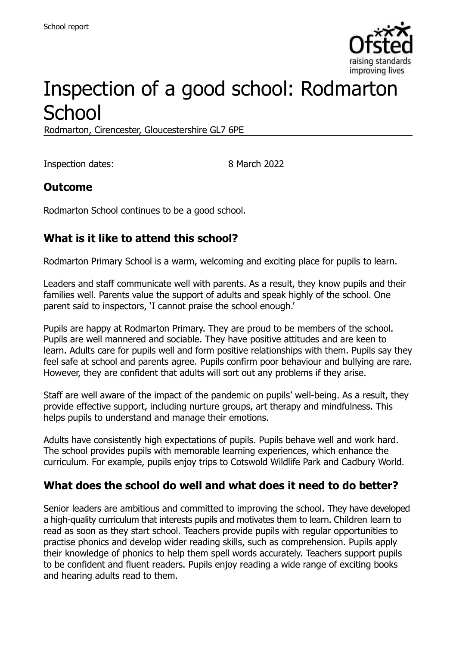

# Inspection of a good school: Rodmarton **School**

Rodmarton, Cirencester, Gloucestershire GL7 6PE

Inspection dates: 8 March 2022

#### **Outcome**

Rodmarton School continues to be a good school.

# **What is it like to attend this school?**

Rodmarton Primary School is a warm, welcoming and exciting place for pupils to learn.

Leaders and staff communicate well with parents. As a result, they know pupils and their families well. Parents value the support of adults and speak highly of the school. One parent said to inspectors, 'I cannot praise the school enough.'

Pupils are happy at Rodmarton Primary. They are proud to be members of the school. Pupils are well mannered and sociable. They have positive attitudes and are keen to learn. Adults care for pupils well and form positive relationships with them. Pupils say they feel safe at school and parents agree. Pupils confirm poor behaviour and bullying are rare. However, they are confident that adults will sort out any problems if they arise.

Staff are well aware of the impact of the pandemic on pupils' well-being. As a result, they provide effective support, including nurture groups, art therapy and mindfulness. This helps pupils to understand and manage their emotions.

Adults have consistently high expectations of pupils. Pupils behave well and work hard. The school provides pupils with memorable learning experiences, which enhance the curriculum. For example, pupils enjoy trips to Cotswold Wildlife Park and Cadbury World.

#### **What does the school do well and what does it need to do better?**

Senior leaders are ambitious and committed to improving the school. They have developed a high-quality curriculum that interests pupils and motivates them to learn. Children learn to read as soon as they start school. Teachers provide pupils with regular opportunities to practise phonics and develop wider reading skills, such as comprehension. Pupils apply their knowledge of phonics to help them spell words accurately. Teachers support pupils to be confident and fluent readers. Pupils enjoy reading a wide range of exciting books and hearing adults read to them.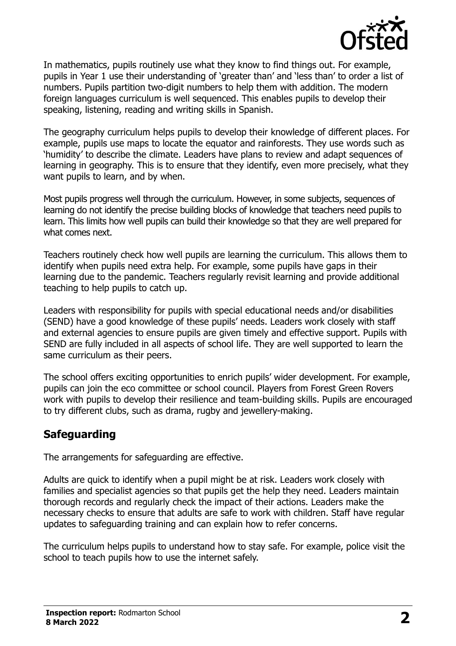

In mathematics, pupils routinely use what they know to find things out. For example, pupils in Year 1 use their understanding of 'greater than' and 'less than' to order a list of numbers. Pupils partition two-digit numbers to help them with addition. The modern foreign languages curriculum is well sequenced. This enables pupils to develop their speaking, listening, reading and writing skills in Spanish.

The geography curriculum helps pupils to develop their knowledge of different places. For example, pupils use maps to locate the equator and rainforests. They use words such as 'humidity' to describe the climate. Leaders have plans to review and adapt sequences of learning in geography. This is to ensure that they identify, even more precisely, what they want pupils to learn, and by when.

Most pupils progress well through the curriculum. However, in some subjects, sequences of learning do not identify the precise building blocks of knowledge that teachers need pupils to learn. This limits how well pupils can build their knowledge so that they are well prepared for what comes next.

Teachers routinely check how well pupils are learning the curriculum. This allows them to identify when pupils need extra help. For example, some pupils have gaps in their learning due to the pandemic. Teachers regularly revisit learning and provide additional teaching to help pupils to catch up.

Leaders with responsibility for pupils with special educational needs and/or disabilities (SEND) have a good knowledge of these pupils' needs. Leaders work closely with staff and external agencies to ensure pupils are given timely and effective support. Pupils with SEND are fully included in all aspects of school life. They are well supported to learn the same curriculum as their peers.

The school offers exciting opportunities to enrich pupils' wider development. For example, pupils can join the eco committee or school council. Players from Forest Green Rovers work with pupils to develop their resilience and team-building skills. Pupils are encouraged to try different clubs, such as drama, rugby and jewellery-making.

#### **Safeguarding**

The arrangements for safeguarding are effective.

Adults are quick to identify when a pupil might be at risk. Leaders work closely with families and specialist agencies so that pupils get the help they need. Leaders maintain thorough records and regularly check the impact of their actions. Leaders make the necessary checks to ensure that adults are safe to work with children. Staff have regular updates to safeguarding training and can explain how to refer concerns.

The curriculum helps pupils to understand how to stay safe. For example, police visit the school to teach pupils how to use the internet safely.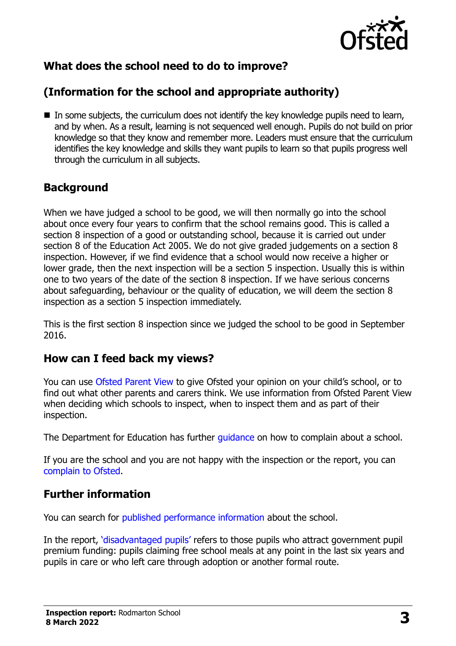

# **What does the school need to do to improve?**

# **(Information for the school and appropriate authority)**

 $\blacksquare$  In some subjects, the curriculum does not identify the key knowledge pupils need to learn, and by when. As a result, learning is not sequenced well enough. Pupils do not build on prior knowledge so that they know and remember more. Leaders must ensure that the curriculum identifies the key knowledge and skills they want pupils to learn so that pupils progress well through the curriculum in all subjects.

# **Background**

When we have judged a school to be good, we will then normally go into the school about once every four years to confirm that the school remains good. This is called a section 8 inspection of a good or outstanding school, because it is carried out under section 8 of the Education Act 2005. We do not give graded judgements on a section 8 inspection. However, if we find evidence that a school would now receive a higher or lower grade, then the next inspection will be a section 5 inspection. Usually this is within one to two years of the date of the section 8 inspection. If we have serious concerns about safeguarding, behaviour or the quality of education, we will deem the section 8 inspection as a section 5 inspection immediately.

This is the first section 8 inspection since we judged the school to be good in September 2016.

#### **How can I feed back my views?**

You can use [Ofsted Parent View](https://parentview.ofsted.gov.uk/) to give Ofsted your opinion on your child's school, or to find out what other parents and carers think. We use information from Ofsted Parent View when deciding which schools to inspect, when to inspect them and as part of their inspection.

The Department for Education has further quidance on how to complain about a school.

If you are the school and you are not happy with the inspection or the report, you can [complain to Ofsted.](https://www.gov.uk/complain-ofsted-report)

#### **Further information**

You can search for [published performance information](http://www.compare-school-performance.service.gov.uk/) about the school.

In the report, '[disadvantaged pupils](http://www.gov.uk/guidance/pupil-premium-information-for-schools-and-alternative-provision-settings)' refers to those pupils who attract government pupil premium funding: pupils claiming free school meals at any point in the last six years and pupils in care or who left care through adoption or another formal route.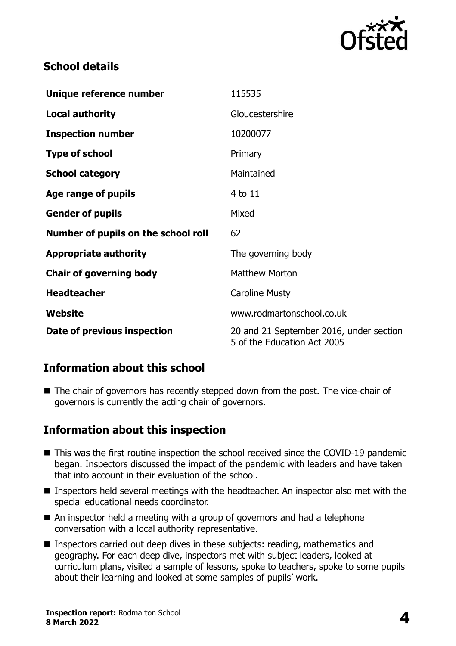

#### **School details**

| Unique reference number             | 115535                                                                 |
|-------------------------------------|------------------------------------------------------------------------|
| <b>Local authority</b>              | Gloucestershire                                                        |
| <b>Inspection number</b>            | 10200077                                                               |
| <b>Type of school</b>               | Primary                                                                |
| <b>School category</b>              | Maintained                                                             |
| Age range of pupils                 | 4 to 11                                                                |
| <b>Gender of pupils</b>             | Mixed                                                                  |
| Number of pupils on the school roll | 62                                                                     |
| <b>Appropriate authority</b>        | The governing body                                                     |
| <b>Chair of governing body</b>      | <b>Matthew Morton</b>                                                  |
| <b>Headteacher</b>                  | <b>Caroline Musty</b>                                                  |
| Website                             | www.rodmartonschool.co.uk                                              |
| Date of previous inspection         | 20 and 21 September 2016, under section<br>5 of the Education Act 2005 |

# **Information about this school**

■ The chair of governors has recently stepped down from the post. The vice-chair of governors is currently the acting chair of governors.

# **Information about this inspection**

- This was the first routine inspection the school received since the COVID-19 pandemic began. Inspectors discussed the impact of the pandemic with leaders and have taken that into account in their evaluation of the school.
- Inspectors held several meetings with the headteacher. An inspector also met with the special educational needs coordinator.
- An inspector held a meeting with a group of governors and had a telephone conversation with a local authority representative.
- Inspectors carried out deep dives in these subjects: reading, mathematics and geography. For each deep dive, inspectors met with subject leaders, looked at curriculum plans, visited a sample of lessons, spoke to teachers, spoke to some pupils about their learning and looked at some samples of pupils' work.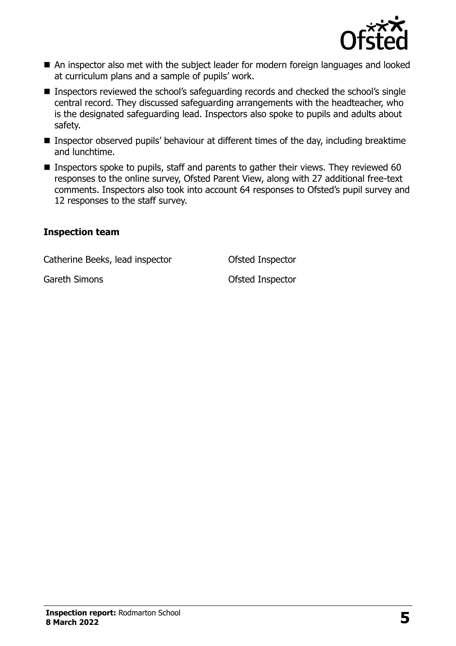

- An inspector also met with the subject leader for modern foreign languages and looked at curriculum plans and a sample of pupils' work.
- Inspectors reviewed the school's safeguarding records and checked the school's single central record. They discussed safeguarding arrangements with the headteacher, who is the designated safeguarding lead. Inspectors also spoke to pupils and adults about safety.
- Inspector observed pupils' behaviour at different times of the day, including breaktime and lunchtime.
- Inspectors spoke to pupils, staff and parents to gather their views. They reviewed 60 responses to the online survey, Ofsted Parent View, along with 27 additional free-text comments. Inspectors also took into account 64 responses to Ofsted's pupil survey and 12 responses to the staff survey.

#### **Inspection team**

Catherine Beeks, lead inspector **Catherine Beeks**, lead inspector

Gareth Simons **Careford Inspector**